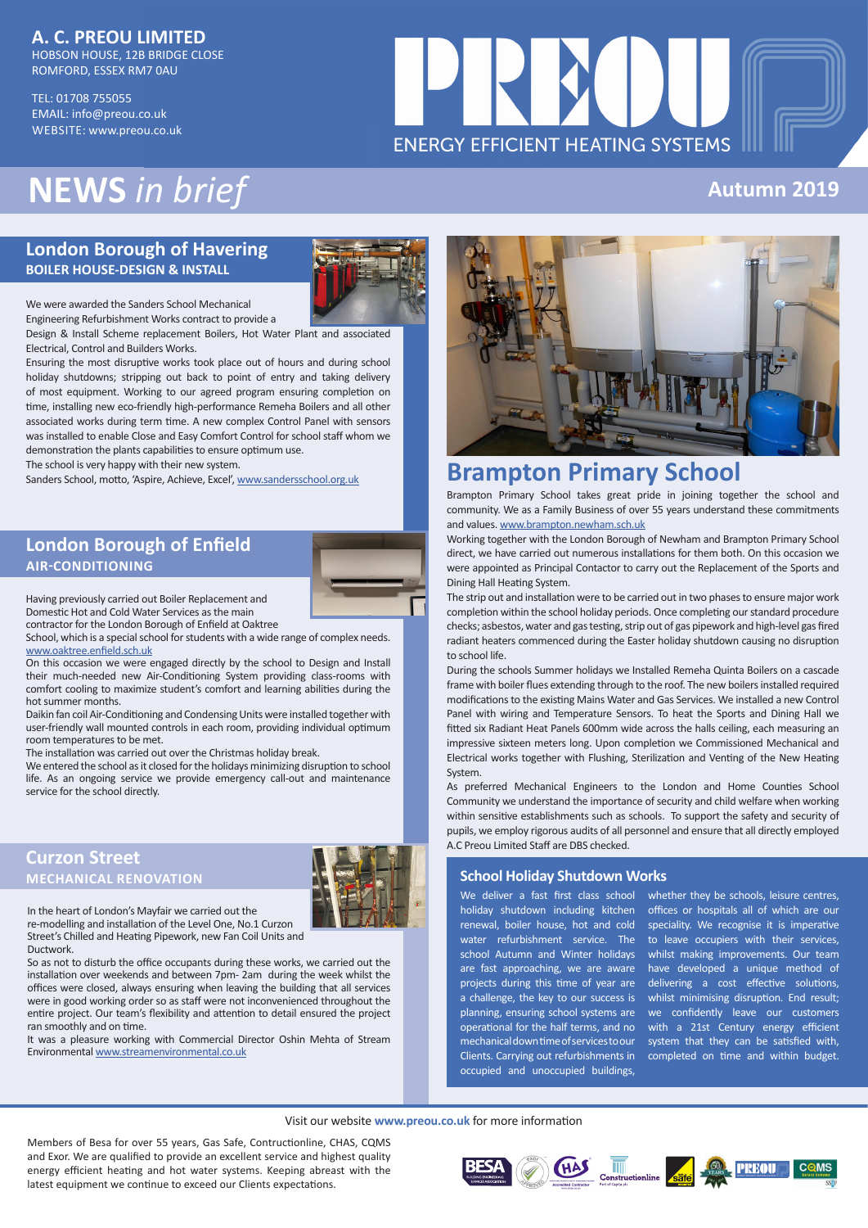## **A. C. PREOU LIMITED**

HOBSON HOUSE, 12B BRIDGE CLOSE ROMFORD, ESSEX RM7 0AU

TEL: 01708 755055 EMAIL: info@preou.co.uk WEBSITE: www.preou.co.uk

# **FNFRGY FFFICIENT HEATING SYSTEMS**

# **NEWS** *in brief*

## **London Borough of Havering BOILER HOUSE-DESIGN & INSTALL**



We were awarded the Sanders School Mechanical Engineering Refurbishment Works contract to provide a

Design & Install Scheme replacement Boilers, Hot Water Plant and associated Electrical, Control and Builders Works.

Ensuring the most disruptive works took place out of hours and during school holiday shutdowns; stripping out back to point of entry and taking delivery of most equipment. Working to our agreed program ensuring completion on time, installing new eco-friendly high-performance Remeha Boilers and all other associated works during term time. A new complex Control Panel with sensors was installed to enable Close and Easy Comfort Control for school staff whom we demonstration the plants capabilities to ensure optimum use.

The school is very happy with their new system.

Sanders School, motto, 'Aspire, Achieve, Excel', www.sandersschool.org.uk

## **London Borough of Enfield AIR-CONDITIONING**



Having previously carried out Boiler Replacement and Domestic Hot and Cold Water Services as the main contractor for the London Borough of Enfield at Oaktree

School, which is a special school for students with a wide range of complex needs. www.oaktree.enfield.sch.uk

On this occasion we were engaged directly by the school to Design and Install their much-needed new Air-Conditioning System providing class-rooms with comfort cooling to maximize student's comfort and learning abilities during the hot summer months.

Daikin fan coil Air-Conditioning and Condensing Units were installed together with user-friendly wall mounted controls in each room, providing individual optimum room temperatures to be met.

The installation was carried out over the Christmas holiday break.

We entered the school as it closed for the holidays minimizing disruption to school life. As an ongoing service we provide emergency call-out and maintenance service for the school directly.

## **Curzon Street MECHANICAL RENOVATION**



In the heart of London's Mayfair we carried out the re-modelling and installation of the Level One, No.1 Curzon Street's Chilled and Heating Pipework, new Fan Coil Units and

Ductwork. So as not to disturb the office occupants during these works, we carried out the installation over weekends and between 7pm- 2am during the week whilst the offices were closed, always ensuring when leaving the building that all services were in good working order so as staff were not inconvenienced throughout the entire project. Our team's flexibility and attention to detail ensured the project ran smoothly and on time.

It was a pleasure working with Commercial Director Oshin Mehta of Stream Environmental www.streamenvironmental.co.uk



**Autumn 2019**

# **Brampton Primary School**

Brampton Primary School takes great pride in joining together the school and community. We as a Family Business of over 55 years understand these commitments and values. www.brampton.newham.sch.uk

Working together with the London Borough of Newham and Brampton Primary School direct, we have carried out numerous installations for them both. On this occasion we were appointed as Principal Contactor to carry out the Replacement of the Sports and Dining Hall Heating System.

The strip out and installation were to be carried out in two phases to ensure major work completion within the school holiday periods. Once completing our standard procedure checks; asbestos, water and gas testing, strip out of gas pipework and high-level gas fired radiant heaters commenced during the Easter holiday shutdown causing no disruption to school life.

During the schools Summer holidays we Installed Remeha Quinta Boilers on a cascade frame with boiler flues extending through to the roof. The new boilers installed required modifications to the existing Mains Water and Gas Services. We installed a new Control Panel with wiring and Temperature Sensors. To heat the Sports and Dining Hall we fitted six Radiant Heat Panels 600mm wide across the halls ceiling, each measuring an impressive sixteen meters long. Upon completion we Commissioned Mechanical and Electrical works together with Flushing, Sterilization and Venting of the New Heating System.

As preferred Mechanical Engineers to the London and Home Counties School Community we understand the importance of security and child welfare when working within sensitive establishments such as schools. To support the safety and security of pupils, we employ rigorous audits of all personnel and ensure that all directly employed A.C Preou Limited Staff are DBS checked.

#### **School Holiday Shutdown Works**

We deliver a fast first class school holiday shutdown including kitchen renewal, boiler house, hot and cold water refurbishment service. The school Autumn and Winter holidays are fast approaching, we are aware projects during this time of year are a challenge, the key to our success is planning, ensuring school systems are operational for the half terms, and no mechanical down time of services to our Clients. Carrying out refurbishments in occupied and unoccupied buildings,

whether they be schools, leisure centres, offices or hospitals all of which are our speciality. We recognise it is imperative to leave occupiers with their services, whilst making improvements. Our team have developed a unique method of delivering a cost effective solutions, whilst minimising disruption. End result; we confidently leave our customers with a 21st Century energy efficient system that they can be satisfied with, completed on time and within budget.

#### Visit our website **www.preou.co.uk** for more information

Members of Besa for over 55 years, Gas Safe, Contructionline, CHAS, CQMS and Exor. We are qualified to provide an excellent service and highest quality energy efficient heating and hot water systems. Keeping abreast with the latest equipment we continue to exceed our Clients expectations.